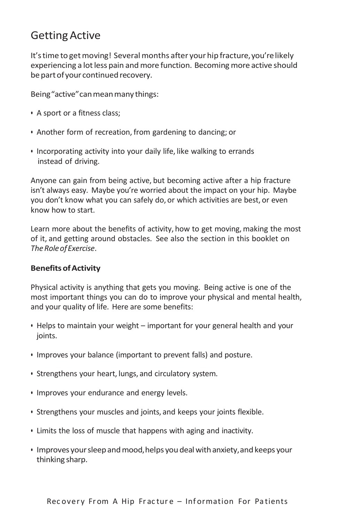# **Getting Active**

It's time to get moving! Several months after your hip fracture, you're likely experiencing a lot less pain and more function. Becoming more active should be part of your continued recovery.

Being"active"canmeanmany things:

- A sport or a fitness class;
- Another form of recreation, from gardening to dancing; or
- Incorporating activity into your daily life, like walking to errands instead of driving.

Anyone can gain from being active, but becoming active after a hip fracture isn't always easy. Maybe you're worried about the impact on your hip. Maybe you don't know what you can safely do, or which activities are best, or even know how to start.

Learn more about the benefits of activity, how to get moving, making the most of it, and getting around obstacles. See also the section in this booklet on The Role of Exercise.

### **BenefitsofActivity**

Physical activity is anything that gets you moving. Being active is one of the most important things you can do to improve your physical and mental health, and your quality of life. Here are some benefits:

- Helps to maintain your weight important for your general health and your ioints.
- Improves your balance (important to prevent falls) and posture.
- Strengthens your heart, lungs, and circulatory system.
- Improves your endurance and energy levels.
- Strengthens your muscles and joints, and keeps your joints flexible.
- Limits the loss of muscle that happens with aging and inactivity.
- Improves yoursleepandmood,helps youdealwithanxiety,and keeps your thinking sharp.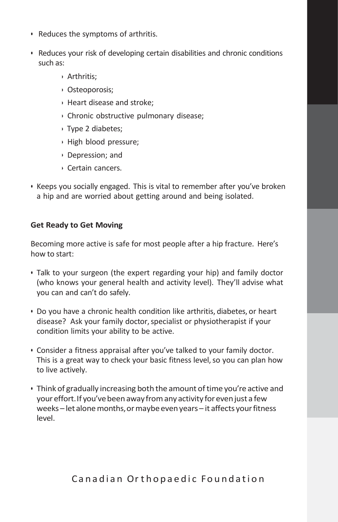- Reduces the symptoms of arthritis.
- Reduces your risk of developing certain disabilities and chronic conditions such as:
	- ‣ Arthritis;
	- ‣ Osteoporosis;
	- ‣ Heart disease and stroke;
	- ‣ Chronic obstructive pulmonary disease;
	- ‣ Type 2 diabetes;
	- ‣ High blood pressure;
	- ‣ Depression; and
	- ‣ Certain cancers.
- Keeps you socially engaged. This is vital to remember after you've broken a hip and are worried about getting around and being isolated.

## **Get Ready to Get Moving**

Becoming more active is safe for most people after a hip fracture. Here's how to start:

- Talk to your surgeon (the expert regarding your hip) and family doctor (who knows your general health and activity level). They'll advise what you can and can't do safely.
- Do you have a chronic health condition like arthritis, diabetes, or heart disease? Ask your family doctor, specialist or physiotherapist if your condition limits your ability to be active.
- Consider a fitness appraisal after you've talked to your family doctor. This is a great way to check your basic fitness level, so you can plan how to live actively.
- Think of gradually increasing both the amount oftime you're active and your effort. If you've been away from any activity for even just a few weeks – let alone months, or maybe even years – it affects your fitness level.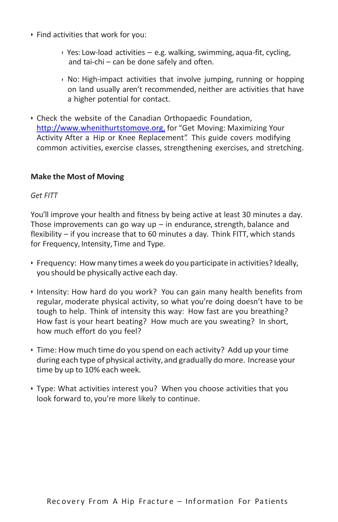- Find activities that work for you:
	- $\rightarrow$  Yes: Low-load activities e.g. walking, swimming, aqua-fit, cycling, and tai-chi – can be done safely and often.
	- $\rightarrow$  No: High-impact activities that involve jumping, running or hopping on land usually aren't recommended, neither are activities that have a higher potential for contact.
- Check the website of the Canadian Orthopaedic Foundation, [http://www.whenithurtstomove.org,](http://www.whenithurtstomove.org,/) for "Get Moving: Maximizing Your Activity After a Hip or Knee Replacement". This guide covers modifying common activities, exercise classes, strengthening exercises, and stretching.

### **Make the Most of Moving**

*Get FITT*

You'll improve your health and fitness by being active at least 30 minutes a day. Those improvements can go way  $up$  – in endurance, strength, balance and flexibility – if you increase that to 60 minutes a day. Think FITT, which stands for Frequency, Intensity, Time and Type.

- Frequency: Howmany times aweek do you participate in activities? Ideally, you should be physically active each day.
- Intensity: How hard do you work? You can gain many health benefits from regular, moderate physical activity, so what you're doing doesn't have to be tough to help. Think of intensity this way: How fast are you breathing? How fast is your heart beating? How much are you sweating? In short, how much effort do you feel?
- Time: How much time do you spend on each activity? Add up your time during each type of physical activity, and gradually do more. Increase your time by up to 10% each week.
- Type: What activities interest you? When you choose activities that you look forward to, you're more likely to continue.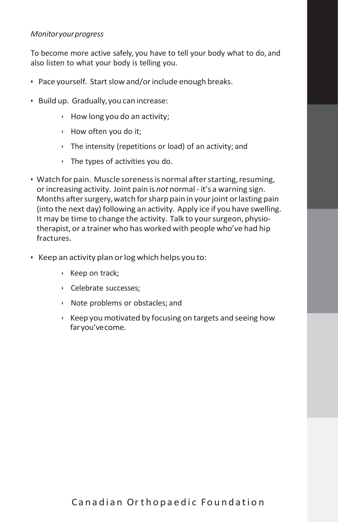#### *Monitoryourprogress*

To become more active safely, you have to tell your body what to do, and also listen to what your body is telling you.

- Pace yourself. Start slow and/or include enough breaks.
- Build up. Gradually,you can increase:
	- ‣ How long you do an activity;
	- ‣ How often you do it;
	- $\rightarrow$  The intensity (repetitions or load) of an activity; and
	- $\rightarrow$  The types of activities you do.
- Watch for pain. Muscle soreness is normal after starting, resuming, or increasing activity. Joint pain is *not* normal - it's a warning sign. Months after surgery, watch for sharp pain in your joint or lasting pain (into the next day) following an activity. Apply ice if you have swelling. It may be time to change the activity. Talk to your surgeon, physiotherapist, or a trainer who has worked with people who've had hip fractures.
- Keep an activity plan orlog which helps you to:
	- ‣ Keep on track;
	- ‣ Celebrate successes;
	- ‣ Note problems or obstacles; and
	- $\rightarrow$  Keep you motivated by focusing on targets and seeing how faryou'vecome.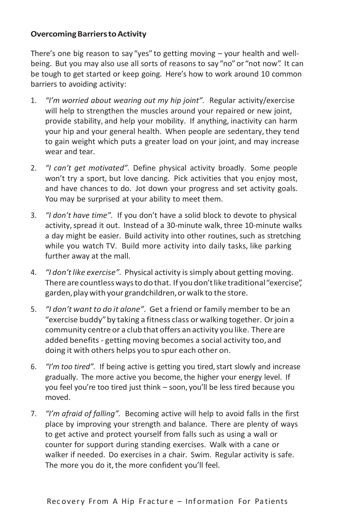### **Overcoming Barriers to Activity**

There's one big reason to say "yes" to getting moving – your health and wellbeing. But you may also use all sorts of reasons to say "no" or "not now". It can be tough to get started or keep going. Here's how to work around 10 common barriers to avoiding activity:

- 1. *"I'm worried about wearing out my hip joint".* Regular activity/exercise will help to strengthen the muscles around your repaired or new joint, provide stability, and help your mobility. If anything, inactivity can harm your hip and your general health. When people are sedentary, they tend to gain weight which puts a greater load on your joint, and may increase wear and tear.
- 2. *"I can't get motivated".* Define physical activity broadly. Some people won't try a sport, but love dancing. Pick activities that you enjoy most, and have chances to do. Jot down your progress and set activity goals. You may be surprised at your ability to meet them.
- 3. *"I don't have time".* If you don't have a solid block to devote to physical activity, spread it out. Instead of a 30-minute walk, three 10-minute walks a day might be easier. Build activity into other routines, such as stretching while you watch TV. Build more activity into daily tasks, like parking further away at the mall.
- 4. *"I don'tlike exercise".* Physical activity issimply about getting moving. There are countless ways to do that. If you don't like traditional "exercise", garden, play with your grandchildren, or walk to the store.
- 5. *"I don't want to do it alone".* Get a friend or family member to be an "exercise buddy" by taking a fitness class or walking together. Or join a community centre or a club that offers an activity you like. There are added benefits - getting moving becomes a social activity too,and doing it with others helps you to spur each other on.
- 6. *"I'm too tired".* If being active is getting you tired,start slowly and increase gradually. The more active you become, the higher your energy level. If you feel you're too tired just think – soon, you'll be less tired because you moved.
- 7. *"I'm afraid of falling".* Becoming active will help to avoid falls in the first place by improving your strength and balance. There are plenty of ways to get active and protect yourself from falls such as using a wall or counter for support during standing exercises. Walk with a cane or walker if needed. Do exercises in a chair. Swim. Regular activity is safe. The more you do it, the more confident you'll feel.